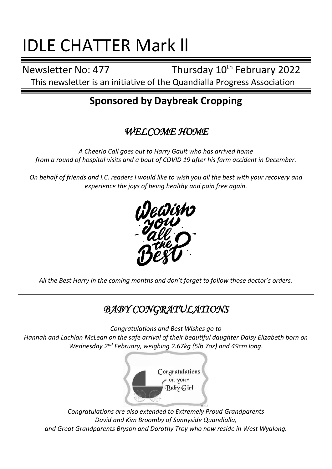# IDLE CHATTER Mark ll

Newsletter No: 477 Thursday 10<sup>th</sup> February 2022

This newsletter is an initiative of the Quandialla Progress Association

# **Sponsored by Daybreak Cropping**

## *WELCOME HOME*

*A Cheerio Call goes out to Harry Gault who has arrived home from a round of hospital visits and a bout of COVID 19 after his farm accident in December.*

*On behalf of friends and I.C. readers I would like to wish you all the best with your recovery and experience the joys of being healthy and pain free again.*



*All the Best Harry in the coming months and don't forget to follow those doctor's orders.*

# *BABY CONGRATULATIONS*

*Congratulations and Best Wishes go to* 

*Hannah and Lachlan McLean on the safe arrival of their beautiful daughter Daisy Elizabeth born on Wednesday 2nd February, weighing 2.67kg (5lb 7oz) and 49cm long.*



*Congratulations are also extended to Extremely Proud Grandparents David and Kim Broomby of Sunnyside Quandialla, and Great Grandparents Bryson and Dorothy Troy who now reside in West Wyalong.*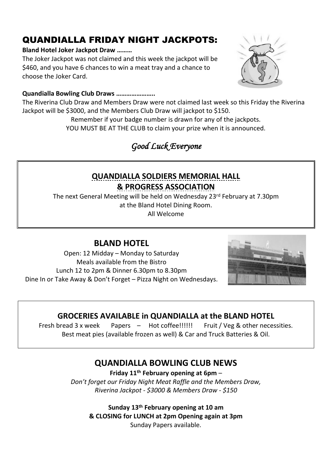## QUANDIALLA FRIDAY NIGHT JACKPOTS:

#### **Bland Hotel Joker Jackpot Draw ………**

The Joker Jackpot was not claimed and this week the jackpot will be \$460, and you have 6 chances to win a meat tray and a chance to choose the Joker Card.

#### **Quandialla Bowling Club Draws …………………..**

The Riverina Club Draw and Members Draw were not claimed last week so this Friday the Riverina Jackpot will be \$3000, and the Members Club Draw will jackpot to \$150.

Remember if your badge number is drawn for any of the jackpots.

YOU MUST BE AT THE CLUB to claim your prize when it is announced.

## *Good Luck Everyone*

### **QUANDIALLA SOLDIERS MEMORIAL HALL & PROGRESS ASSOCIATION**

The next General Meeting will be held on Wednesday 23 rd February at 7.30pm at the Bland Hotel Dining Room.

All Welcome

#### **BLAND HOTEL**

Open: 12 Midday – Monday to Saturday Meals available from the Bistro Lunch 12 to 2pm & Dinner 6.30pm to 8.30pm Dine In or Take Away & Don't Forget – Pizza Night on Wednesdays.



#### **GROCERIES AVAILABLE in QUANDIALLA at the BLAND HOTEL**

Fresh bread 3 x week Papers – Hot coffee!!!!!! Fruit / Veg & other necessities. Best meat pies (available frozen as well) & Car and Truck Batteries & Oil.

#### **QUANDIALLA BOWLING CLUB NEWS**

**Friday 11th February opening at 6pm** –

*Don't forget our Friday Night Meat Raffle and the Members Draw, Riverina Jackpot - \$3000 & Members Draw - \$150*

**Sunday 13th February opening at 10 am & CLOSING for LUNCH at 2pm Opening again at 3pm**  Sunday Papers available.

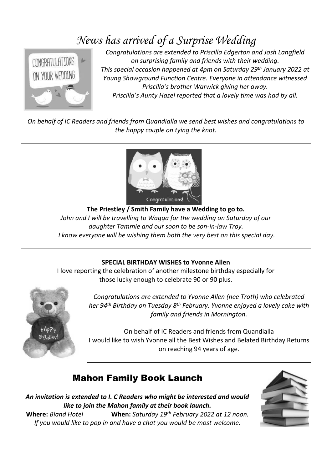# *News has arrived of a Surprise Wedding*



*Congratulations are extended to Priscilla Edgerton and Josh Langfield on surprising family and friends with their wedding. This special occasion happened at 4pm on Saturday 29th January 2022 at Young Showground Function Centre. Everyone in attendance witnessed Priscilla's brother Warwick giving her away. Priscilla's Aunty Hazel reported that a lovely time was had by all.*

*On behalf of IC Readers and friends from Quandialla we send best wishes and congratulations to the happy couple on tying the knot.*



**The Priestley / Smith Family have a Wedding to go to.** *John and I will be travelling to Wagga for the wedding on Saturday of our daughter Tammie and our soon to be son-in-law Troy. I know everyone will be wishing them both the very best on this special day.*

#### **SPECIAL BIRTHDAY WISHES to Yvonne Allen**

I love reporting the celebration of another milestone birthday especially for those lucky enough to celebrate 90 or 90 plus.



*Congratulations are extended to Yvonne Allen (nee Troth) who celebrated her 94th Birthday on Tuesday 8 th February. Yvonne enjoyed a lovely cake with family and friends in Mornington.*

On behalf of IC Readers and friends from Quandialla I would like to wish Yvonne all the Best Wishes and Belated Birthday Returns on reaching 94 years of age.

#### Mahon Family Book Launch

*An invitation is extended to I. C Readers who might be interested and would like to join the Mahon family at their book launch.* **Where:** *Bland Hotel* **When:** *Saturday 19th February 2022 at 12 noon.*

*If you would like to pop in and have a chat you would be most welcome.*